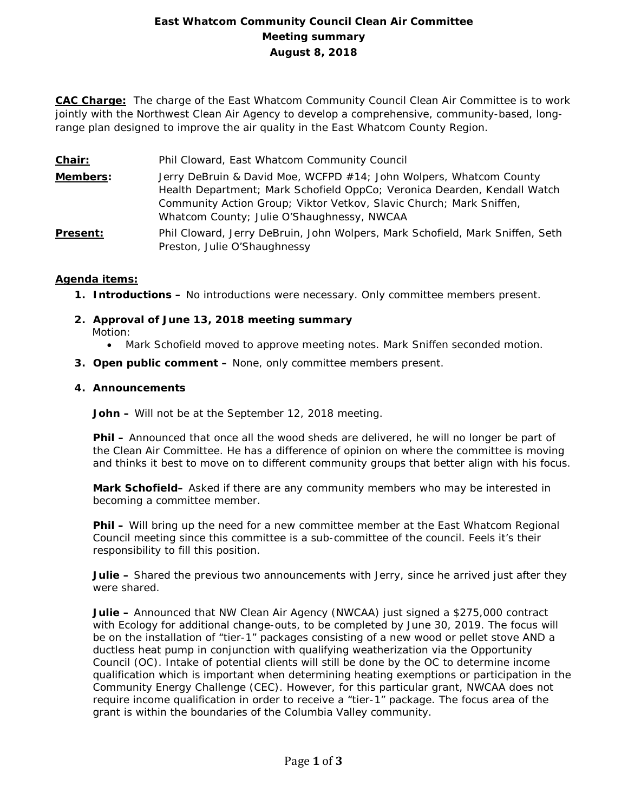# **East Whatcom Community Council Clean Air Committee Meeting summary August 8, 2018**

**CAC Charge:** The charge of the East Whatcom Community Council Clean Air Committee is to work jointly with the Northwest Clean Air Agency to develop a comprehensive, community-based, longrange plan designed to improve the air quality in the East Whatcom County Region.

**Chair:** Phil Cloward, East Whatcom Community Council **Members:** Jerry DeBruin & David Moe, WCFPD #14; John Wolpers, Whatcom County Health Department; Mark Schofield OppCo; Veronica Dearden, Kendall Watch Community Action Group; Viktor Vetkov, Slavic Church; Mark Sniffen, Whatcom County; Julie O'Shaughnessy, NWCAA **Present:** Phil Cloward, Jerry DeBruin, John Wolpers, Mark Schofield, Mark Sniffen, Seth Preston, Julie O'Shaughnessy

## **Agenda items:**

- **1. Introductions –** No introductions were necessary. Only committee members present.
- **2. Approval of June 13, 2018 meeting summary** Motion:
	- Mark Schofield moved to approve meeting notes. Mark Sniffen seconded motion.
- **3. Open public comment –** None, only committee members present.

#### **4. Announcements**

**John –** Will not be at the September 12, 2018 meeting.

**Phil –** Announced that once all the wood sheds are delivered, he will no longer be part of the Clean Air Committee. He has a difference of opinion on where the committee is moving and thinks it best to move on to different community groups that better align with his focus.

**Mark Schofield–** Asked if there are any community members who may be interested in becoming a committee member.

**Phil –** Will bring up the need for a new committee member at the East Whatcom Regional Council meeting since this committee is a sub-committee of the council. Feels it's their responsibility to fill this position.

**Julie –** Shared the previous two announcements with Jerry, since he arrived just after they were shared.

**Julie –** Announced that NW Clean Air Agency (NWCAA) just signed a \$275,000 contract with Ecology for additional change-outs, to be completed by June 30, 2019. The focus will be on the installation of "tier-1" packages consisting of a new wood or pellet stove AND a ductless heat pump in conjunction with qualifying weatherization via the Opportunity Council (OC). Intake of potential clients will still be done by the OC to determine income qualification which is important when determining heating exemptions or participation in the Community Energy Challenge (CEC). However, for this particular grant, NWCAA does not require income qualification in order to receive a "tier-1" package. The focus area of the grant is within the boundaries of the Columbia Valley community.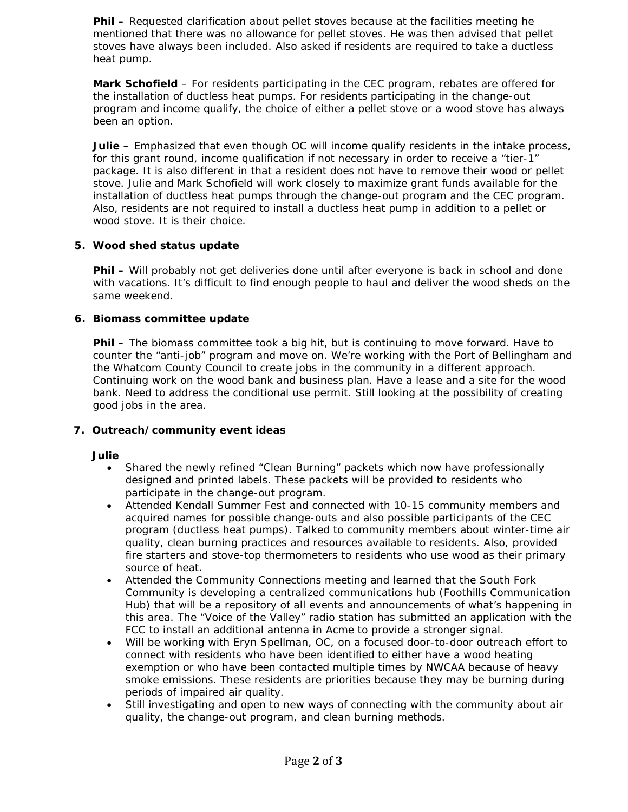**Phil –** Requested clarification about pellet stoves because at the facilities meeting he mentioned that there was no allowance for pellet stoves. He was then advised that pellet stoves have always been included. Also asked if residents are required to take a ductless heat pump.

**Mark Schofield** – For residents participating in the CEC program, rebates are offered for the installation of ductless heat pumps. For residents participating in the change-out program and income qualify, the choice of either a pellet stove or a wood stove has always been an option.

**Julie –** Emphasized that even though OC will income qualify residents in the intake process, for this grant round, income qualification if not necessary in order to receive a "tier-1" package. It is also different in that a resident does not have to remove their wood or pellet stove. Julie and Mark Schofield will work closely to maximize grant funds available for the installation of ductless heat pumps through the change-out program and the CEC program. Also, residents are not required to install a ductless heat pump in addition to a pellet or wood stove. It is their choice.

## **5. Wood shed status update**

**Phil** – Will probably not get deliveries done until after everyone is back in school and done with vacations. It's difficult to find enough people to haul and deliver the wood sheds on the same weekend.

## **6. Biomass committee update**

**Phil –** The biomass committee took a big hit, but is continuing to move forward. Have to counter the "anti-job" program and move on. We're working with the Port of Bellingham and the Whatcom County Council to create jobs in the community in a different approach. Continuing work on the wood bank and business plan. Have a lease and a site for the wood bank. Need to address the conditional use permit. Still looking at the possibility of creating good jobs in the area.

#### **7. Outreach/community event ideas**

#### **Julie**

- Shared the newly refined "Clean Burning" packets which now have professionally designed and printed labels. These packets will be provided to residents who participate in the change-out program.
- Attended Kendall Summer Fest and connected with 10-15 community members and acquired names for possible change-outs and also possible participants of the CEC program (ductless heat pumps). Talked to community members about winter-time air quality, clean burning practices and resources available to residents. Also, provided fire starters and stove-top thermometers to residents who use wood as their primary source of heat.
- Attended the Community Connections meeting and learned that the South Fork Community is developing a centralized communications hub (Foothills Communication Hub) that will be a repository of all events and announcements of what's happening in this area. The "Voice of the Valley" radio station has submitted an application with the FCC to install an additional antenna in Acme to provide a stronger signal.
- Will be working with Eryn Spellman, OC, on a focused door-to-door outreach effort to connect with residents who have been identified to either have a wood heating exemption or who have been contacted multiple times by NWCAA because of heavy smoke emissions. These residents are priorities because they may be burning during periods of impaired air quality.
- Still investigating and open to new ways of connecting with the community about air quality, the change-out program, and clean burning methods.